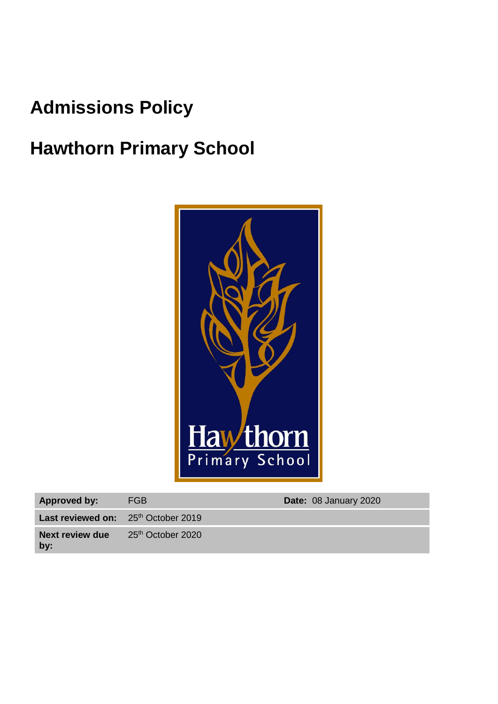# **Admissions Policy**

# **Hawthorn Primary School**



| <b>Approved by:</b>                          | FGB                           | Date: 08 January 2020 |
|----------------------------------------------|-------------------------------|-----------------------|
| <b>Last reviewed on:</b> $25th$ October 2019 |                               |                       |
| Next review due<br>by:                       | 25 <sup>th</sup> October 2020 |                       |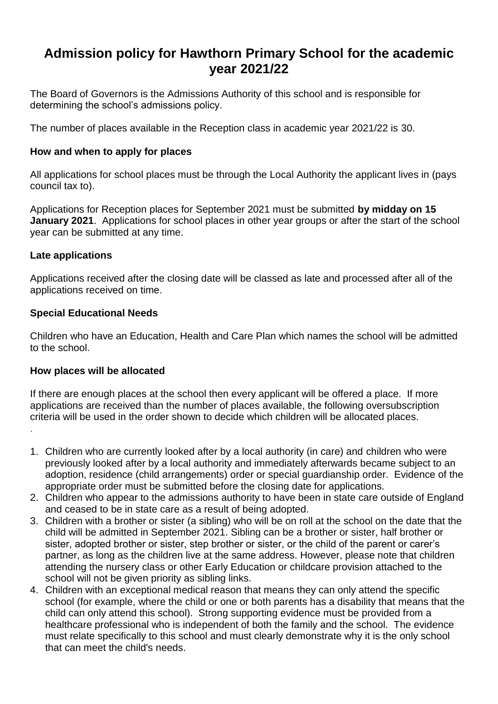# **Admission policy for Hawthorn Primary School for the academic year 2021/22**

The Board of Governors is the Admissions Authority of this school and is responsible for determining the school's admissions policy.

The number of places available in the Reception class in academic year 2021/22 is 30.

#### **How and when to apply for places**

All applications for school places must be through the Local Authority the applicant lives in (pays council tax to).

Applications for Reception places for September 2021 must be submitted **by midday on 15 January 2021**. Applications for school places in other year groups or after the start of the school year can be submitted at any time.

#### **Late applications**

.

Applications received after the closing date will be classed as late and processed after all of the applications received on time.

#### **Special Educational Needs**

Children who have an Education, Health and Care Plan which names the school will be admitted to the school.

#### **How places will be allocated**

If there are enough places at the school then every applicant will be offered a place. If more applications are received than the number of places available, the following oversubscription criteria will be used in the order shown to decide which children will be allocated places.

- 1. Children who are currently looked after by a local authority (in care) and children who were previously looked after by a local authority and immediately afterwards became subject to an adoption, residence (child arrangements) order or special guardianship order. Evidence of the appropriate order must be submitted before the closing date for applications.
- 2. Children who appear to the admissions authority to have been in state care outside of England and ceased to be in state care as a result of being adopted.
- 3. Children with a brother or sister (a sibling) who will be on roll at the school on the date that the child will be admitted in September 2021. Sibling can be a brother or sister, half brother or sister, adopted brother or sister, step brother or sister, or the child of the parent or carer's partner, as long as the children live at the same address. However, please note that children attending the nursery class or other Early Education or childcare provision attached to the school will not be given priority as sibling links.
- 4. Children with an exceptional medical reason that means they can only attend the specific school (for example, where the child or one or both parents has a disability that means that the child can only attend this school). Strong supporting evidence must be provided from a healthcare professional who is independent of both the family and the school. The evidence must relate specifically to this school and must clearly demonstrate why it is the only school that can meet the child's needs.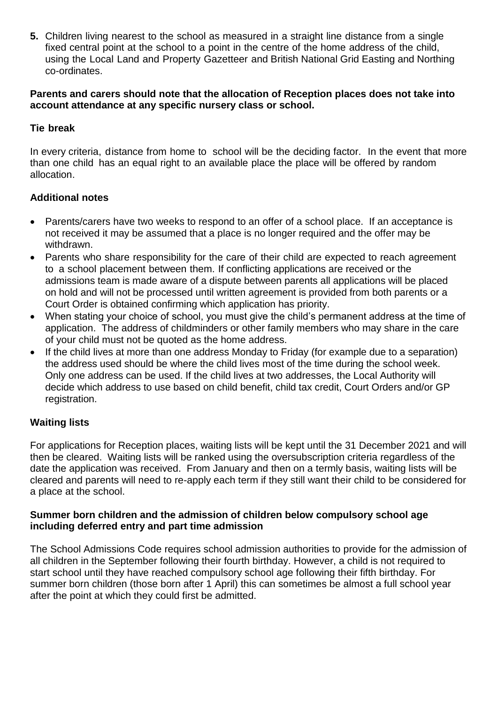**5.** Children living nearest to the school as measured in a straight line distance from a single fixed central point at the school to a point in the centre of the home address of the child, using the Local Land and Property Gazetteer and British National Grid Easting and Northing co-ordinates.

#### **Parents and carers should note that the allocation of Reception places does not take into account attendance at any specific nursery class or school.**

### **Tie break**

In every criteria, distance from home to school will be the deciding factor. In the event that more than one child has an equal right to an available place the place will be offered by random allocation.

## **Additional notes**

- Parents/carers have two weeks to respond to an offer of a school place. If an acceptance is not received it may be assumed that a place is no longer required and the offer may be withdrawn.
- Parents who share responsibility for the care of their child are expected to reach agreement to a school placement between them. If conflicting applications are received or the admissions team is made aware of a dispute between parents all applications will be placed on hold and will not be processed until written agreement is provided from both parents or a Court Order is obtained confirming which application has priority.
- When stating your choice of school, you must give the child's permanent address at the time of application. The address of childminders or other family members who may share in the care of your child must not be quoted as the home address.
- If the child lives at more than one address Monday to Friday (for example due to a separation) the address used should be where the child lives most of the time during the school week. Only one address can be used. If the child lives at two addresses, the Local Authority will decide which address to use based on child benefit, child tax credit, Court Orders and/or GP registration.

# **Waiting lists**

For applications for Reception places, waiting lists will be kept until the 31 December 2021 and will then be cleared. Waiting lists will be ranked using the oversubscription criteria regardless of the date the application was received. From January and then on a termly basis, waiting lists will be cleared and parents will need to re-apply each term if they still want their child to be considered for a place at the school.

#### **Summer born children and the admission of children below compulsory school age including deferred entry and part time admission**

The School Admissions Code requires school admission authorities to provide for the admission of all children in the September following their fourth birthday. However, a child is not required to start school until they have reached compulsory school age following their fifth birthday. For summer born children (those born after 1 April) this can sometimes be almost a full school year after the point at which they could first be admitted.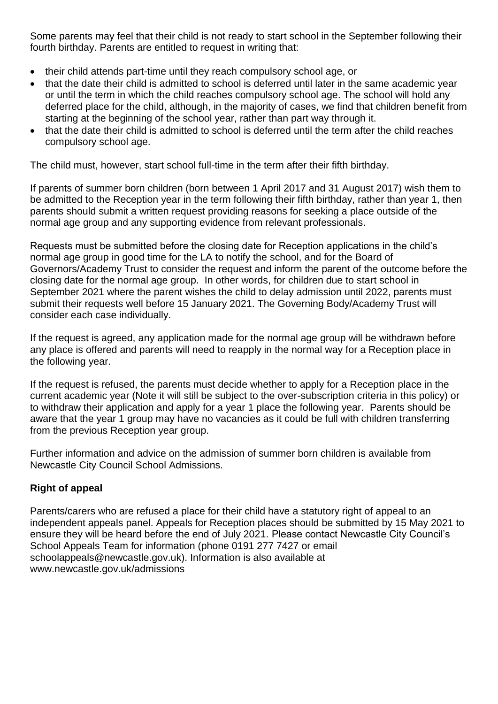Some parents may feel that their child is not ready to start school in the September following their fourth birthday. Parents are entitled to request in writing that:

- their child attends part-time until they reach compulsory school age, or
- that the date their child is admitted to school is deferred until later in the same academic year or until the term in which the child reaches compulsory school age. The school will hold any deferred place for the child, although, in the majority of cases, we find that children benefit from starting at the beginning of the school year, rather than part way through it.
- that the date their child is admitted to school is deferred until the term after the child reaches compulsory school age.

The child must, however, start school full-time in the term after their fifth birthday.

If parents of summer born children (born between 1 April 2017 and 31 August 2017) wish them to be admitted to the Reception year in the term following their fifth birthday, rather than year 1, then parents should submit a written request providing reasons for seeking a place outside of the normal age group and any supporting evidence from relevant professionals.

Requests must be submitted before the closing date for Reception applications in the child's normal age group in good time for the LA to notify the school, and for the Board of Governors/Academy Trust to consider the request and inform the parent of the outcome before the closing date for the normal age group. In other words, for children due to start school in September 2021 where the parent wishes the child to delay admission until 2022, parents must submit their requests well before 15 January 2021. The Governing Body/Academy Trust will consider each case individually.

If the request is agreed, any application made for the normal age group will be withdrawn before any place is offered and parents will need to reapply in the normal way for a Reception place in the following year.

If the request is refused, the parents must decide whether to apply for a Reception place in the current academic year (Note it will still be subject to the over-subscription criteria in this policy) or to withdraw their application and apply for a year 1 place the following year. Parents should be aware that the year 1 group may have no vacancies as it could be full with children transferring from the previous Reception year group.

Further information and advice on the admission of summer born children is available from Newcastle City Council School Admissions.

# **Right of appeal**

Parents/carers who are refused a place for their child have a statutory right of appeal to an independent appeals panel. Appeals for Reception places should be submitted by 15 May 2021 to ensure they will be heard before the end of July 2021. Please contact Newcastle City Council's School Appeals Team for information (phone 0191 277 7427 or email schoolappeals@newcastle.gov.uk). Information is also available at www.newcastle.gov.uk/admissions